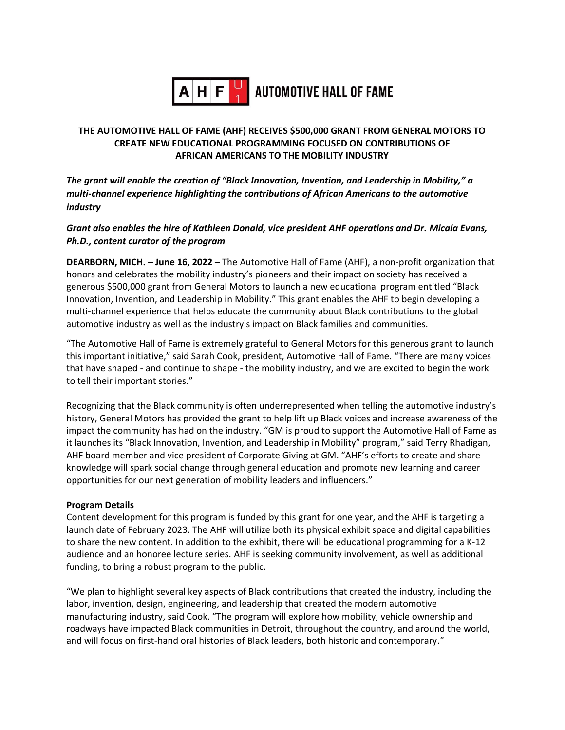

# $\mathbf{A} \mathbf{H} \mathbf{F}$  automotive hall of fame

# **THE AUTOMOTIVE HALL OF FAME (AHF) RECEIVES \$500,000 GRANT FROM GENERAL MOTORS TO CREATE NEW EDUCATIONAL PROGRAMMING FOCUSED ON CONTRIBUTIONS OF AFRICAN AMERICANS TO THE MOBILITY INDUSTRY**

*The grant will enable the creation of "Black Innovation, Invention, and Leadership in Mobility," a multi-channel experience highlighting the contributions of African Americans to the automotive industry*

*Grant also enables the hire of Kathleen Donald, vice president AHF operations and Dr. Micala Evans, Ph.D., content curator of the program*

**DEARBORN, MICH. – June 16, 2022** – The Automotive Hall of Fame (AHF), a non-profit organization that honors and celebrates the mobility industry's pioneers and their impact on society has received a generous \$500,000 grant from General Motors to launch a new educational program entitled "Black Innovation, Invention, and Leadership in Mobility." This grant enables the AHF to begin developing a multi-channel experience that helps educate the community about Black contributions to the global automotive industry as well as the industry's impact on Black families and communities.

"The Automotive Hall of Fame is extremely grateful to General Motors for this generous grant to launch this important initiative," said Sarah Cook, president, Automotive Hall of Fame. "There are many voices that have shaped - and continue to shape - the mobility industry, and we are excited to begin the work to tell their important stories."

Recognizing that the Black community is often underrepresented when telling the automotive industry's history, General Motors has provided the grant to help lift up Black voices and increase awareness of the impact the community has had on the industry. "GM is proud to support the Automotive Hall of Fame as it launches its "Black Innovation, Invention, and Leadership in Mobility" program," said Terry Rhadigan, AHF board member and vice president of Corporate Giving at GM. "AHF's efforts to create and share knowledge will spark social change through general education and promote new learning and career opportunities for our next generation of mobility leaders and influencers."

## **Program Details**

Content development for this program is funded by this grant for one year, and the AHF is targeting a launch date of February 2023. The AHF will utilize both its physical exhibit space and digital capabilities to share the new content. In addition to the exhibit, there will be educational programming for a K-12 audience and an honoree lecture series. AHF is seeking community involvement, as well as additional funding, to bring a robust program to the public.

"We plan to highlight several key aspects of Black contributions that created the industry, including the labor, invention, design, engineering, and leadership that created the modern automotive manufacturing industry, said Cook. "The program will explore how mobility, vehicle ownership and roadways have impacted Black communities in Detroit, throughout the country, and around the world, and will focus on first-hand oral histories of Black leaders, both historic and contemporary."